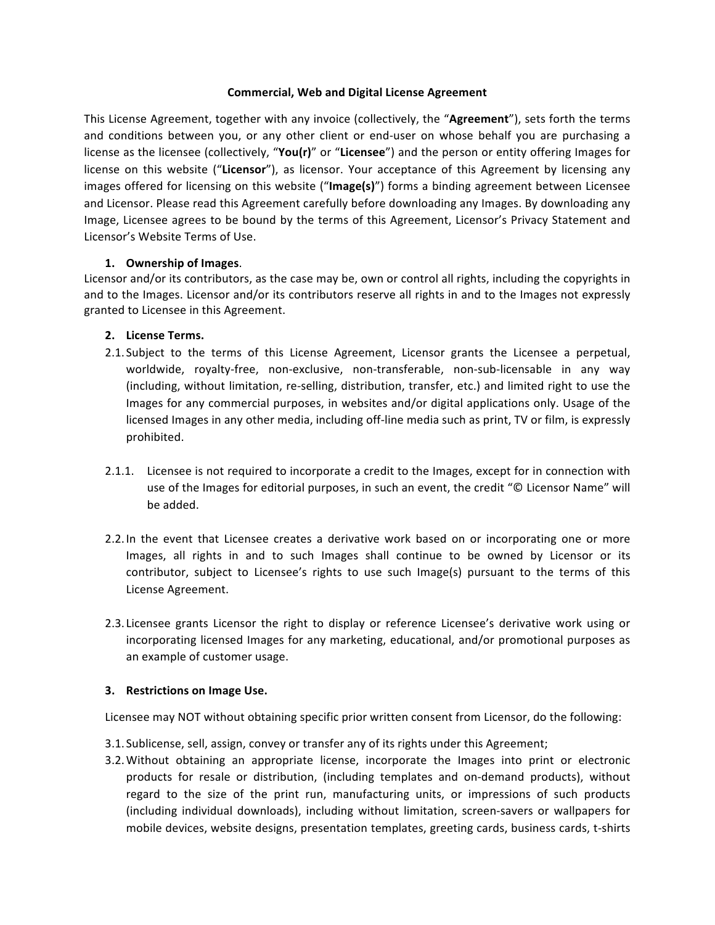#### **Commercial, Web and Digital License Agreement**

This License Agreement, together with any invoice (collectively, the "Agreement"), sets forth the terms and conditions between you, or any other client or end-user on whose behalf you are purchasing a license as the licensee (collectively, "You(r)" or "Licensee") and the person or entity offering Images for license on this website ("Licensor"), as licensor. Your acceptance of this Agreement by licensing any images offered for licensing on this website ("Image(s)") forms a binding agreement between Licensee and Licensor. Please read this Agreement carefully before downloading any Images. By downloading any Image, Licensee agrees to be bound by the terms of this Agreement, Licensor's Privacy Statement and Licensor's Website Terms of Use.

## **1. Ownership of Images**.

Licensor and/or its contributors, as the case may be, own or control all rights, including the copyrights in and to the Images. Licensor and/or its contributors reserve all rights in and to the Images not expressly granted to Licensee in this Agreement.

## **2. License Terms.**

- 2.1. Subject to the terms of this License Agreement, Licensor grants the Licensee a perpetual, worldwide, royalty-free, non-exclusive, non-transferable, non-sub-licensable in any way (including, without limitation, re-selling, distribution, transfer, etc.) and limited right to use the Images for any commercial purposes, in websites and/or digital applications only. Usage of the licensed Images in any other media, including off-line media such as print, TV or film, is expressly prohibited.
- 2.1.1. Licensee is not required to incorporate a credit to the Images, except for in connection with use of the Images for editorial purposes, in such an event, the credit "© Licensor Name" will be added.
- 2.2. In the event that Licensee creates a derivative work based on or incorporating one or more Images, all rights in and to such Images shall continue to be owned by Licensor or its contributor, subject to Licensee's rights to use such Image(s) pursuant to the terms of this License Agreement.
- 2.3. Licensee grants Licensor the right to display or reference Licensee's derivative work using or incorporating licensed Images for any marketing, educational, and/or promotional purposes as an example of customer usage.

#### **3.** Restrictions on Image Use.

Licensee may NOT without obtaining specific prior written consent from Licensor, do the following:

- 3.1. Sublicense, sell, assign, convey or transfer any of its rights under this Agreement;
- 3.2. Without obtaining an appropriate license, incorporate the Images into print or electronic products for resale or distribution, (including templates and on-demand products), without regard to the size of the print run, manufacturing units, or impressions of such products (including individual downloads), including without limitation, screen-savers or wallpapers for mobile devices, website designs, presentation templates, greeting cards, business cards, t-shirts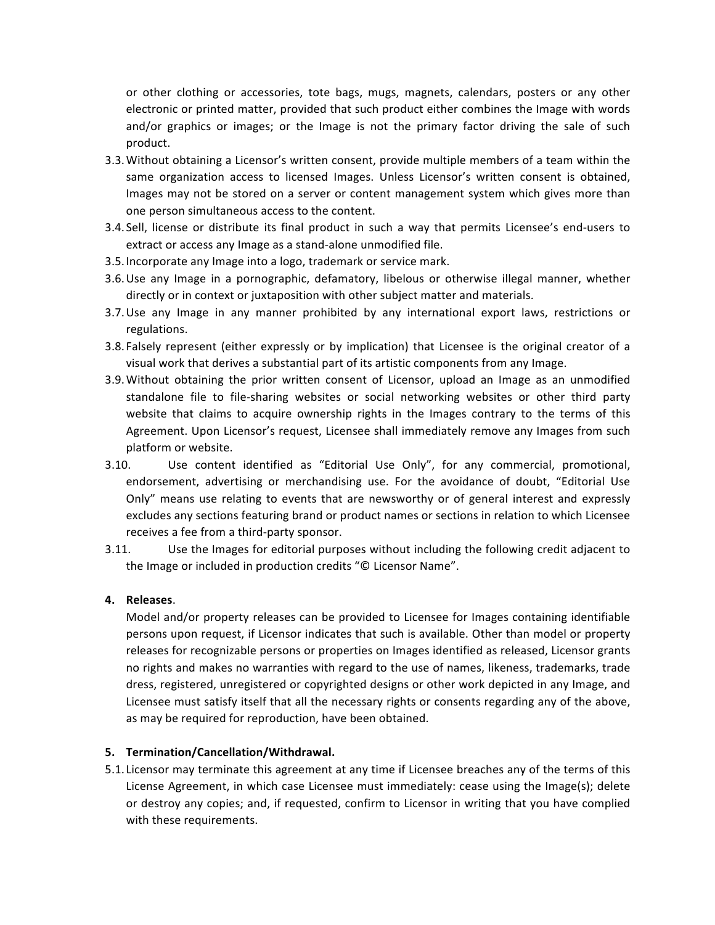or other clothing or accessories, tote bags, mugs, magnets, calendars, posters or any other electronic or printed matter, provided that such product either combines the Image with words and/or graphics or images; or the Image is not the primary factor driving the sale of such product. 

- 3.3. Without obtaining a Licensor's written consent, provide multiple members of a team within the same organization access to licensed Images. Unless Licensor's written consent is obtained, Images may not be stored on a server or content management system which gives more than one person simultaneous access to the content.
- 3.4. Sell, license or distribute its final product in such a way that permits Licensee's end-users to extract or access any Image as a stand-alone unmodified file.
- 3.5. Incorporate any Image into a logo, trademark or service mark.
- 3.6. Use any Image in a pornographic, defamatory, libelous or otherwise illegal manner, whether directly or in context or juxtaposition with other subject matter and materials.
- 3.7. Use any Image in any manner prohibited by any international export laws, restrictions or regulations.
- 3.8. Falsely represent (either expressly or by implication) that Licensee is the original creator of a visual work that derives a substantial part of its artistic components from any Image.
- 3.9. Without obtaining the prior written consent of Licensor, upload an Image as an unmodified standalone file to file-sharing websites or social networking websites or other third party website that claims to acquire ownership rights in the Images contrary to the terms of this Agreement. Upon Licensor's request, Licensee shall immediately remove any Images from such platform or website.
- 3.10. Use content identified as "Editorial Use Only", for any commercial, promotional, endorsement, advertising or merchandising use. For the avoidance of doubt, "Editorial Use Only" means use relating to events that are newsworthy or of general interest and expressly excludes any sections featuring brand or product names or sections in relation to which Licensee receives a fee from a third-party sponsor.
- 3.11. Use the Images for editorial purposes without including the following credit adjacent to the Image or included in production credits "© Licensor Name".

#### **4. Releases**.

Model and/or property releases can be provided to Licensee for Images containing identifiable persons upon request, if Licensor indicates that such is available. Other than model or property releases for recognizable persons or properties on Images identified as released, Licensor grants no rights and makes no warranties with regard to the use of names, likeness, trademarks, trade dress, registered, unregistered or copyrighted designs or other work depicted in any Image, and Licensee must satisfy itself that all the necessary rights or consents regarding any of the above, as may be required for reproduction, have been obtained.

#### **5. Termination/Cancellation/Withdrawal.**

5.1. Licensor may terminate this agreement at any time if Licensee breaches any of the terms of this License Agreement, in which case Licensee must immediately: cease using the Image(s); delete or destroy any copies; and, if requested, confirm to Licensor in writing that you have complied with these requirements.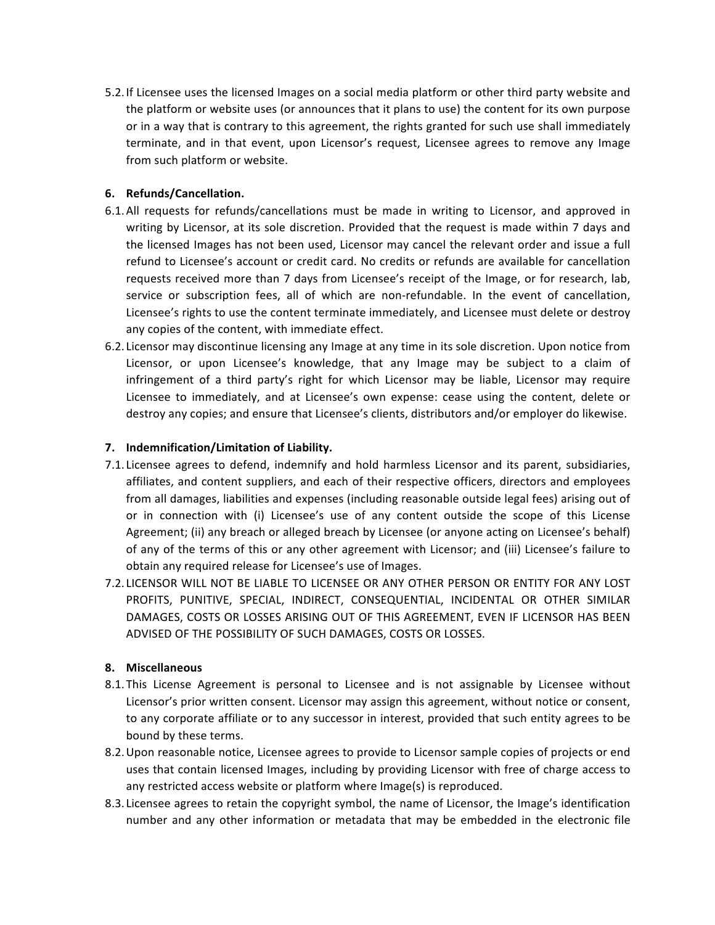5.2. If Licensee uses the licensed Images on a social media platform or other third party website and the platform or website uses (or announces that it plans to use) the content for its own purpose or in a way that is contrary to this agreement, the rights granted for such use shall immediately terminate, and in that event, upon Licensor's request, Licensee agrees to remove any Image from such platform or website.

### **6. Refunds/Cancellation.**

- 6.1. All requests for refunds/cancellations must be made in writing to Licensor, and approved in writing by Licensor, at its sole discretion. Provided that the request is made within 7 days and the licensed Images has not been used, Licensor may cancel the relevant order and issue a full refund to Licensee's account or credit card. No credits or refunds are available for cancellation requests received more than 7 days from Licensee's receipt of the Image, or for research, lab, service or subscription fees, all of which are non-refundable. In the event of cancellation, Licensee's rights to use the content terminate immediately, and Licensee must delete or destroy any copies of the content, with immediate effect.
- 6.2. Licensor may discontinue licensing any Image at any time in its sole discretion. Upon notice from Licensor, or upon Licensee's knowledge, that any Image may be subject to a claim of infringement of a third party's right for which Licensor may be liable, Licensor may require Licensee to immediately, and at Licensee's own expense: cease using the content, delete or destroy any copies; and ensure that Licensee's clients, distributors and/or employer do likewise.

## **7. Indemnification/Limitation of Liability.**

- 7.1. Licensee agrees to defend, indemnify and hold harmless Licensor and its parent, subsidiaries, affiliates, and content suppliers, and each of their respective officers, directors and employees from all damages, liabilities and expenses (including reasonable outside legal fees) arising out of or in connection with (i) Licensee's use of any content outside the scope of this License Agreement; (ii) any breach or alleged breach by Licensee (or anyone acting on Licensee's behalf) of any of the terms of this or any other agreement with Licensor; and (iii) Licensee's failure to obtain any required release for Licensee's use of Images.
- 7.2. LICENSOR WILL NOT BE LIABLE TO LICENSEE OR ANY OTHER PERSON OR ENTITY FOR ANY LOST PROFITS, PUNITIVE, SPECIAL, INDIRECT, CONSEQUENTIAL, INCIDENTAL OR OTHER SIMILAR DAMAGES, COSTS OR LOSSES ARISING OUT OF THIS AGREEMENT, EVEN IF LICENSOR HAS BEEN ADVISED OF THE POSSIBILITY OF SUCH DAMAGES, COSTS OR LOSSES.

# **8. Miscellaneous**

- 8.1. This License Agreement is personal to Licensee and is not assignable by Licensee without Licensor's prior written consent. Licensor may assign this agreement, without notice or consent, to any corporate affiliate or to any successor in interest, provided that such entity agrees to be bound by these terms.
- 8.2. Upon reasonable notice, Licensee agrees to provide to Licensor sample copies of projects or end uses that contain licensed Images, including by providing Licensor with free of charge access to any restricted access website or platform where Image(s) is reproduced.
- 8.3. Licensee agrees to retain the copyright symbol, the name of Licensor, the Image's identification number and any other information or metadata that may be embedded in the electronic file